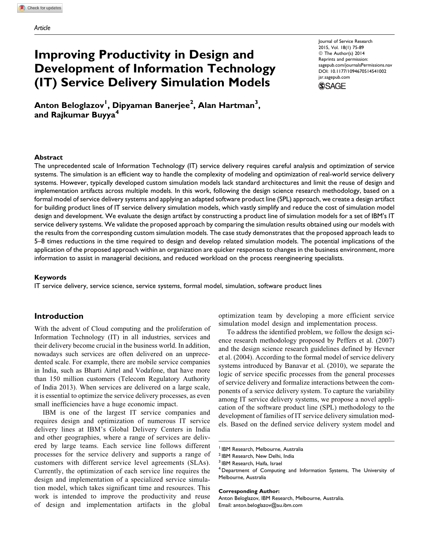# Improving Productivity in Design and Development of Information Technology (IT) Service Delivery Simulation Models

Anton Beloglazov<sup>I</sup>, Dipyaman Banerjee<sup>2</sup>, Alan Hartman<sup>3</sup>, and Rajkumar Buyya<sup>4</sup>

Journal of Service Research 2015, Vol. 18(1) 75-89 © The Author(s) 2014 Reprints and permission: [sagepub.com/journalsPermissions.nav](http://www.sagepub.com/journalsPermissions.nav) DOI: 10.1177/1094670514541002 [jsr.sagepub.com](http://jsr.sagepub.com)



#### Abstract

The unprecedented scale of Information Technology (IT) service delivery requires careful analysis and optimization of service systems. The simulation is an efficient way to handle the complexity of modeling and optimization of real-world service delivery systems. However, typically developed custom simulation models lack standard architectures and limit the reuse of design and implementation artifacts across multiple models. In this work, following the design science research methodology, based on a formal model of service delivery systems and applying an adapted software product line (SPL) approach, we create a design artifact for building product lines of IT service delivery simulation models, which vastly simplify and reduce the cost of simulation model design and development. We evaluate the design artifact by constructing a product line of simulation models for a set of IBM's IT service delivery systems. We validate the proposed approach by comparing the simulation results obtained using our models with the results from the corresponding custom simulation models. The case study demonstrates that the proposed approach leads to 5–8 times reductions in the time required to design and develop related simulation models. The potential implications of the application of the proposed approach within an organization are quicker responses to changes in the business environment, more information to assist in managerial decisions, and reduced workload on the process reengineering specialists.

#### Keywords

IT service delivery, service science, service systems, formal model, simulation, software product lines

# Introduction

With the advent of Cloud computing and the proliferation of Information Technology (IT) in all industries, services and their delivery become crucial in the business world. In addition, nowadays such services are often delivered on an unprecedented scale. For example, there are mobile service companies in India, such as Bharti Airtel and Vodafone, that have more than 150 million customers (Telecom Regulatory Authority of India 2013). When services are delivered on a large scale, it is essential to optimize the service delivery processes, as even small inefficiencies have a huge economic impact.

IBM is one of the largest IT service companies and requires design and optimization of numerous IT service delivery lines at IBM's Global Delivery Centers in India and other geographies, where a range of services are delivered by large teams. Each service line follows different processes for the service delivery and supports a range of customers with different service level agreements (SLAs). Currently, the optimization of each service line requires the design and implementation of a specialized service simulation model, which takes significant time and resources. This work is intended to improve the productivity and reuse of design and implementation artifacts in the global

optimization team by developing a more efficient service simulation model design and implementation process.

To address the identified problem, we follow the design science research methodology proposed by Peffers et al. (2007) and the design science research guidelines defined by Hevner et al. (2004). According to the formal model of service delivery systems introduced by Banavar et al. (2010), we separate the logic of service specific processes from the general processes of service delivery and formalize interactions between the components of a service delivery system. To capture the variability among IT service delivery systems, we propose a novel application of the software product line (SPL) methodology to the development of families of IT service delivery simulation models. Based on the defined service delivery system model and

#### Corresponding Author:

Anton Beloglazov, IBM Research, Melbourne, Australia. Email: anton.beloglazov@au.ibm.com

<sup>1</sup> IBM Research, Melbourne, Australia

<sup>&</sup>lt;sup>2</sup> IBM Research, New Delhi, India

IBM Research, Haifa, Israel

<sup>&</sup>lt;sup>4</sup> Department of Computing and Information Systems, The University of Melbourne, Australia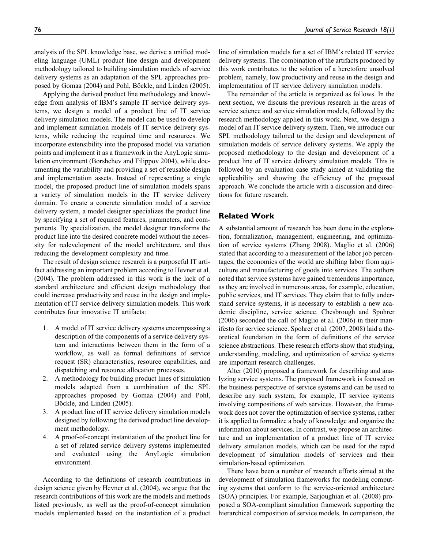analysis of the SPL knowledge base, we derive a unified modeling language (UML) product line design and development methodology tailored to building simulation models of service delivery systems as an adaptation of the SPL approaches proposed by Gomaa (2004) and Pohl, Böckle, and Linden (2005).

Applying the derived product line methodology and knowledge from analysis of IBM's sample IT service delivery systems, we design a model of a product line of IT service delivery simulation models. The model can be used to develop and implement simulation models of IT service delivery systems, while reducing the required time and resources. We incorporate extensibility into the proposed model via variation points and implement it as a framework in the AnyLogic simulation environment (Borshchev and Filippov 2004), while documenting the variability and providing a set of reusable design and implementation assets. Instead of representing a single model, the proposed product line of simulation models spans a variety of simulation models in the IT service delivery domain. To create a concrete simulation model of a service delivery system, a model designer specializes the product line by specifying a set of required features, parameters, and components. By specialization, the model designer transforms the product line into the desired concrete model without the necessity for redevelopment of the model architecture, and thus reducing the development complexity and time.

The result of design science research is a purposeful IT artifact addressing an important problem according to Hevner et al. (2004). The problem addressed in this work is the lack of a standard architecture and efficient design methodology that could increase productivity and reuse in the design and implementation of IT service delivery simulation models. This work contributes four innovative IT artifacts:

- 1. A model of IT service delivery systems encompassing a description of the components of a service delivery system and interactions between them in the form of a workflow, as well as formal definitions of service request (SR) characteristics, resource capabilities, and dispatching and resource allocation processes.
- 2. A methodology for building product lines of simulation models adapted from a combination of the SPL approaches proposed by Gomaa (2004) and Pohl, Böckle, and Linden (2005).
- 3. A product line of IT service delivery simulation models designed by following the derived product line development methodology.
- 4. A proof-of-concept instantiation of the product line for a set of related service delivery systems implemented and evaluated using the AnyLogic simulation environment.

According to the definitions of research contributions in design science given by Hevner et al. (2004), we argue that the research contributions of this work are the models and methods listed previously, as well as the proof-of-concept simulation models implemented based on the instantiation of a product line of simulation models for a set of IBM's related IT service delivery systems. The combination of the artifacts produced by this work contributes to the solution of a heretofore unsolved problem, namely, low productivity and reuse in the design and implementation of IT service delivery simulation models.

The remainder of the article is organized as follows. In the next section, we discuss the previous research in the areas of service science and service simulation models, followed by the research methodology applied in this work. Next, we design a model of an IT service delivery system. Then, we introduce our SPL methodology tailored to the design and development of simulation models of service delivery systems. We apply the proposed methodology to the design and development of a product line of IT service delivery simulation models. This is followed by an evaluation case study aimed at validating the applicability and showing the efficiency of the proposed approach. We conclude the article with a discussion and directions for future research.

# Related Work

A substantial amount of research has been done in the exploration, formalization, management, engineering, and optimization of service systems (Zhang 2008). Maglio et al. (2006) stated that according to a measurement of the labor job percentages, the economies of the world are shifting labor from agriculture and manufacturing of goods into services. The authors noted that service systems have gained tremendous importance, as they are involved in numerous areas, for example, education, public services, and IT services. They claim that to fully understand service systems, it is necessary to establish a new academic discipline, service science. Chesbrough and Spohrer (2006) seconded the call of Maglio et al. (2006) in their manifesto for service science. Spohrer et al. (2007, 2008) laid a theoretical foundation in the form of definitions of the service science abstractions. These research efforts show that studying, understanding, modeling, and optimization of service systems are important research challenges.

Alter (2010) proposed a framework for describing and analyzing service systems. The proposed framework is focused on the business perspective of service systems and can be used to describe any such system, for example, IT service systems involving compositions of web services. However, the framework does not cover the optimization of service systems, rather it is applied to formalize a body of knowledge and organize the information about services. In contrast, we propose an architecture and an implementation of a product line of IT service delivery simulation models, which can be used for the rapid development of simulation models of services and their simulation-based optimization.

There have been a number of research efforts aimed at the development of simulation frameworks for modeling computing systems that conform to the service-oriented architecture (SOA) principles. For example, Sarjoughian et al. (2008) proposed a SOA-compliant simulation framework supporting the hierarchical composition of service models. In comparison, the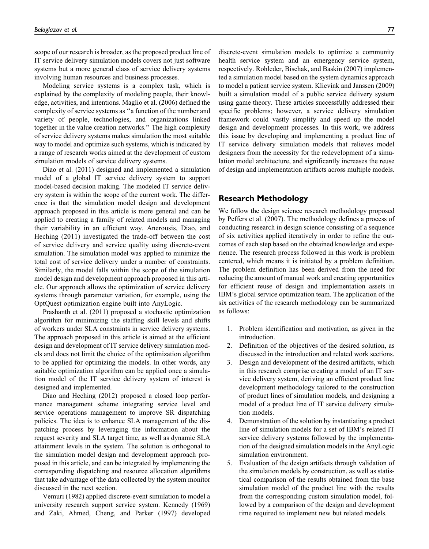scope of our research is broader, as the proposed product line of IT service delivery simulation models covers not just software systems but a more general class of service delivery systems involving human resources and business processes.

Modeling service systems is a complex task, which is explained by the complexity of modeling people, their knowledge, activities, and intentions. Maglio et al. (2006) defined the complexity of service systems as ''a function of the number and variety of people, technologies, and organizations linked together in the value creation networks.'' The high complexity of service delivery systems makes simulation the most suitable way to model and optimize such systems, which is indicated by a range of research works aimed at the development of custom simulation models of service delivery systems.

Diao et al. (2011) designed and implemented a simulation model of a global IT service delivery system to support model-based decision making. The modeled IT service delivery system is within the scope of the current work. The difference is that the simulation model design and development approach proposed in this article is more general and can be applied to creating a family of related models and managing their variability in an efficient way. Anerousis, Diao, and Heching (2011) investigated the trade-off between the cost of service delivery and service quality using discrete-event simulation. The simulation model was applied to minimize the total cost of service delivery under a number of constraints. Similarly, the model falls within the scope of the simulation model design and development approach proposed in this article. Our approach allows the optimization of service delivery systems through parameter variation, for example, using the OptQuest optimization engine built into AnyLogic.

Prashanth et al. (2011) proposed a stochastic optimization algorithm for minimizing the staffing skill levels and shifts of workers under SLA constraints in service delivery systems. The approach proposed in this article is aimed at the efficient design and development of IT service delivery simulation models and does not limit the choice of the optimization algorithm to be applied for optimizing the models. In other words, any suitable optimization algorithm can be applied once a simulation model of the IT service delivery system of interest is designed and implemented.

Diao and Heching (2012) proposed a closed loop performance management scheme integrating service level and service operations management to improve SR dispatching policies. The idea is to enhance SLA management of the dispatching process by leveraging the information about the request severity and SLA target time, as well as dynamic SLA attainment levels in the system. The solution is orthogonal to the simulation model design and development approach proposed in this article, and can be integrated by implementing the corresponding dispatching and resource allocation algorithms that take advantage of the data collected by the system monitor discussed in the next section.

Vemuri (1982) applied discrete-event simulation to model a university research support service system. Kennedy (1969) and Zaki, Ahmed, Cheng, and Parker (1997) developed discrete-event simulation models to optimize a community health service system and an emergency service system, respectively. Rohleder, Bischak, and Baskin (2007) implemented a simulation model based on the system dynamics approach to model a patient service system. Klievink and Janssen (2009) built a simulation model of a public service delivery system using game theory. These articles successfully addressed their specific problems; however, a service delivery simulation framework could vastly simplify and speed up the model design and development processes. In this work, we address this issue by developing and implementing a product line of IT service delivery simulation models that relieves model designers from the necessity for the redevelopment of a simulation model architecture, and significantly increases the reuse of design and implementation artifacts across multiple models.

# Research Methodology

We follow the design science research methodology proposed by Peffers et al. (2007). The methodology defines a process of conducting research in design science consisting of a sequence of six activities applied iteratively in order to refine the outcomes of each step based on the obtained knowledge and experience. The research process followed in this work is problem centered, which means it is initiated by a problem definition. The problem definition has been derived from the need for reducing the amount of manual work and creating opportunities for efficient reuse of design and implementation assets in IBM's global service optimization team. The application of the six activities of the research methodology can be summarized as follows:

- 1. Problem identification and motivation, as given in the introduction.
- 2. Definition of the objectives of the desired solution, as discussed in the introduction and related work sections.
- 3. Design and development of the desired artifacts, which in this research comprise creating a model of an IT service delivery system, deriving an efficient product line development methodology tailored to the construction of product lines of simulation models, and designing a model of a product line of IT service delivery simulation models.
- 4. Demonstration of the solution by instantiating a product line of simulation models for a set of IBM's related IT service delivery systems followed by the implementation of the designed simulation models in the AnyLogic simulation environment.
- 5. Evaluation of the design artifacts through validation of the simulation models by construction, as well as statistical comparison of the results obtained from the base simulation model of the product line with the results from the corresponding custom simulation model, followed by a comparison of the design and development time required to implement new but related models.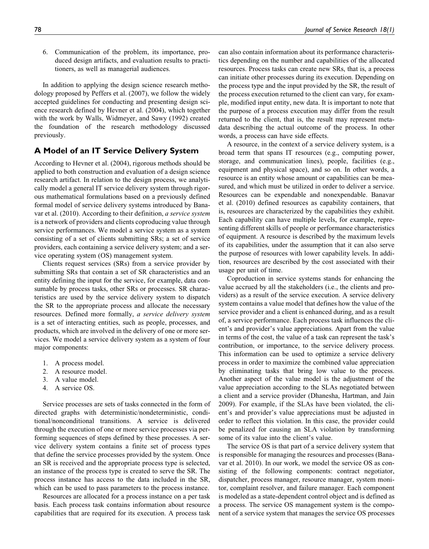6. Communication of the problem, its importance, produced design artifacts, and evaluation results to practitioners, as well as managerial audiences.

In addition to applying the design science research methodology proposed by Peffers et al. (2007), we follow the widely accepted guidelines for conducting and presenting design science research defined by Hevner et al. (2004), which together with the work by Walls, Widmeyer, and Sawy (1992) created the foundation of the research methodology discussed previously.

# A Model of an IT Service Delivery System

According to Hevner et al. (2004), rigorous methods should be applied to both construction and evaluation of a design science research artifact. In relation to the design process, we analytically model a general IT service delivery system through rigorous mathematical formulations based on a previously defined formal model of service delivery systems introduced by Banavar et al. (2010). According to their definition, a service system is a network of providers and clients coproducing value through service performances. We model a service system as a system consisting of a set of clients submitting SRs; a set of service providers, each containing a service delivery system; and a service operating system (OS) management system.

Clients request services (SRs) from a service provider by submitting SRs that contain a set of SR characteristics and an entity defining the input for the service, for example, data consumable by process tasks, other SRs or processes. SR characteristics are used by the service delivery system to dispatch the SR to the appropriate process and allocate the necessary resources. Defined more formally, a service delivery system is a set of interacting entities, such as people, processes, and products, which are involved in the delivery of one or more services. We model a service delivery system as a system of four major components:

- 1. A process model.
- 2. A resource model.
- 3. A value model.
- 4. A service OS.

Service processes are sets of tasks connected in the form of directed graphs with deterministic/nondeterministic, conditional/nonconditional transitions. A service is delivered through the execution of one or more service processes via performing sequences of steps defined by these processes. A service delivery system contains a finite set of process types that define the service processes provided by the system. Once an SR is received and the appropriate process type is selected, an instance of the process type is created to serve the SR. The process instance has access to the data included in the SR, which can be used to pass parameters to the process instance.

Resources are allocated for a process instance on a per task basis. Each process task contains information about resource capabilities that are required for its execution. A process task can also contain information about its performance characteristics depending on the number and capabilities of the allocated resources. Process tasks can create new SRs, that is, a process can initiate other processes during its execution. Depending on the process type and the input provided by the SR, the result of the process execution returned to the client can vary, for example, modified input entity, new data. It is important to note that the purpose of a process execution may differ from the result returned to the client, that is, the result may represent metadata describing the actual outcome of the process. In other words, a process can have side effects.

A resource, in the context of a service delivery system, is a broad term that spans IT resources (e.g., computing power, storage, and communication lines), people, facilities (e.g., equipment and physical space), and so on. In other words, a resource is an entity whose amount or capabilities can be measured, and which must be utilized in order to deliver a service. Resources can be expendable and nonexpendable. Banavar et al. (2010) defined resources as capability containers, that is, resources are characterized by the capabilities they exhibit. Each capability can have multiple levels, for example, representing different skills of people or performance characteristics of equipment. A resource is described by the maximum levels of its capabilities, under the assumption that it can also serve the purpose of resources with lower capability levels. In addition, resources are described by the cost associated with their usage per unit of time.

Coproduction in service systems stands for enhancing the value accrued by all the stakeholders (i.e., the clients and providers) as a result of the service execution. A service delivery system contains a value model that defines how the value of the service provider and a client is enhanced during, and as a result of, a service performance. Each process task influences the client's and provider's value appreciations. Apart from the value in terms of the cost, the value of a task can represent the task's contribution, or importance, to the service delivery process. This information can be used to optimize a service delivery process in order to maximize the combined value appreciation by eliminating tasks that bring low value to the process. Another aspect of the value model is the adjustment of the value appreciation according to the SLAs negotiated between a client and a service provider (Dhanesha, Hartman, and Jain 2009). For example, if the SLAs have been violated, the client's and provider's value appreciations must be adjusted in order to reflect this violation. In this case, the provider could be penalized for causing an SLA violation by transforming some of its value into the client's value.

The service OS is that part of a service delivery system that is responsible for managing the resources and processes (Banavar et al. 2010). In our work, we model the service OS as consisting of the following components: contract negotiator, dispatcher, process manager, resource manager, system monitor, complaint resolver, and failure manager. Each component is modeled as a state-dependent control object and is defined as a process. The service OS management system is the component of a service system that manages the service OS processes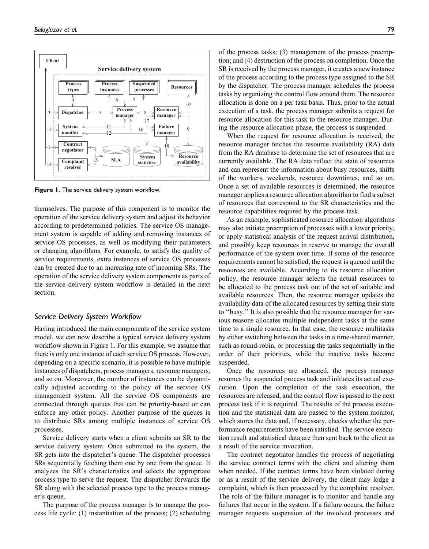

Figure 1. The service delivery system workflow.

themselves. The purpose of this component is to monitor the operation of the service delivery system and adjust its behavior according to predetermined policies. The service OS management system is capable of adding and removing instances of service OS processes, as well as modifying their parameters or changing algorithms. For example, to satisfy the quality of service requirements, extra instances of service OS processes can be created due to an increasing rate of incoming SRs. The operation of the service delivery system components as parts of the service delivery system workflow is detailed in the next section.

## Service Delivery System Workflow

Having introduced the main components of the service system model, we can now describe a typical service delivery system workflow shown in Figure 1. For this example, we assume that there is only one instance of each service OS process. However, depending on a specific scenario, it is possible to have multiple instances of dispatchers, process managers, resource managers, and so on. Moreover, the number of instances can be dynamically adjusted according to the policy of the service OS management system. All the service OS components are connected through queues that can be priority-based or can enforce any other policy. Another purpose of the queues is to distribute SRs among multiple instances of service OS processes.

Service delivery starts when a client submits an SR to the service delivery system. Once submitted to the system, the SR gets into the dispatcher's queue. The dispatcher processes SRs sequentially fetching them one by one from the queue. It analyzes the SR's characteristics and selects the appropriate process type to serve the request. The dispatcher forwards the SR along with the selected process type to the process manager's queue.

The purpose of the process manager is to manage the process life cycle: (1) instantiation of the process; (2) scheduling

of the process tasks; (3) management of the process preemption; and (4) destruction of the process on completion. Once the SR is received by the process manager, it creates a new instance of the process according to the process type assigned to the SR by the dispatcher. The process manager schedules the process tasks by organizing the control flow around them. The resource allocation is done on a per task basis. Thus, prior to the actual execution of a task, the process manager submits a request for resource allocation for this task to the resource manager. During the resource allocation phase, the process is suspended.

When the request for resource allocation is received, the resource manager fetches the resource availability (RA) data from the RA database to determine the set of resources that are currently available. The RA data reflect the state of resources and can represent the information about busy resources, shifts of the workers, weekends, resource downtimes, and so on. Once a set of available resources is determined, the resource manager applies a resource allocation algorithm to find a subset of resources that correspond to the SR characteristics and the resource capabilities required by the process task.

As an example, sophisticated resource allocation algorithms may also initiate preemption of processes with a lower priority, or apply statistical analysis of the request arrival distribution, and possibly keep resources in reserve to manage the overall performance of the system over time. If some of the resource requirements cannot be satisfied, the request is queued until the resources are available. According to its resource allocation policy, the resource manager selects the actual resources to be allocated to the process task out of the set of suitable and available resources. Then, the resource manager updates the availability data of the allocated resources by setting their state to ''busy.'' It is also possible that the resource manager for various reasons allocates multiple independent tasks at the same time to a single resource. In that case, the resource multitasks by either switching between the tasks in a time-shared manner, such as round-robin, or processing the tasks sequentially in the order of their priorities, while the inactive tasks become suspended.

Once the resources are allocated, the process manager resumes the suspended process task and initiates its actual execution. Upon the completion of the task execution, the resources are released, and the control flow is passed to the next process task if it is required. The results of the process execution and the statistical data are passed to the system monitor, which stores the data and, if necessary, checks whether the performance requirements have been satisfied. The service execution result and statistical data are then sent back to the client as a result of the service invocation.

The contract negotiator handles the process of negotiating the service contract terms with the client and altering them when needed. If the contract terms have been violated during or as a result of the service delivery, the client may lodge a complaint, which is then processed by the complaint resolver. The role of the failure manager is to monitor and handle any failures that occur in the system. If a failure occurs, the failure manager requests suspension of the involved processes and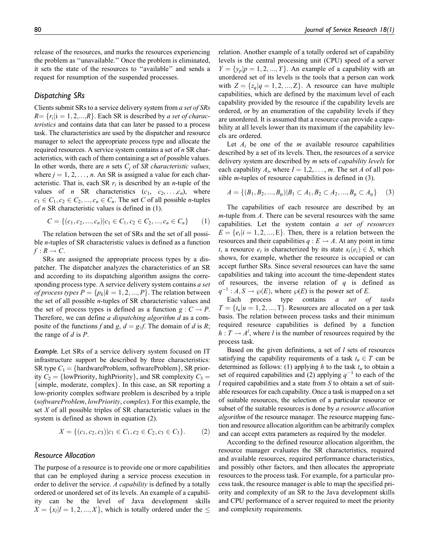release of the resources, and marks the resources experiencing the problem as ''unavailable.'' Once the problem is eliminated, it sets the state of the resources to ''available'' and sends a request for resumption of the suspended processes.

# Dispatching SRs

Clients submit SRs to a service delivery system from a set of SRs  $R = \{r_i | i = 1, 2, \ldots, R\}$ . Each SR is described by a set of characteristics and contains data that can later be passed to a process task. The characteristics are used by the dispatcher and resource manager to select the appropriate process type and allocate the required resources. A service system contains a set of n SR characteristics, with each of them containing a set of possible values. In other words, there are *n* sets  $C_i$  of SR characteristic values, where  $j = 1, 2, \ldots, n$ . An SR is assigned a value for each characteristic. That is, each SR  $r_i$  is described by an *n*-tuple of the values of *n* SR characteristics  $(c_1, c_2, \ldots, c_n)$ , where  $c_1 \in C_1, c_2 \in C_2, ..., c_n \in C_n$ . The set C of all possible *n*-tuples of  $n$  SR characteristic values is defined in (1).

$$
C = \{(c_1, c_2, ..., c_n) | c_1 \in C_1, c_2 \in C_2, ..., c_n \in C_n\}
$$
 (1)

The relation between the set of SRs and the set of all possible n-tuples of SR characteristic values is defined as a function  $f: R \to C$ .

SRs are assigned the appropriate process types by a dispatcher. The dispatcher analyzes the characteristics of an SR and according to its dispatching algorithm assigns the corresponding process type. A service delivery system contains a set of process types  $P = \{p_k | k = 1, 2, ..., P\}$ . The relation between the set of all possible n-tuples of SR characteristic values and the set of process types is defined as a function  $g: C \to P$ . Therefore, we can define *a dispatching algorithm d* as a composite of the functions f and g,  $d = g \circ f$ . The domain of d is R; the range of  $d$  is  $P$ .

Example. Let SRs of a service delivery system focused on IT infrastructure support be described by three characteristics: SR type  $C_1 = \{ \text{hardwareProblem}, \text{softwareProblem} \}$ , SR priority  $C_2 = \{lowPriority, highPriority\}$ , and SR complexity  $C_3 =$  $\{\text{simple}, \text{moderate}, \text{complex}\}.$  In this case, an SR reporting a low-priority complex software problem is described by a triple (softwareProblem, lowPriority, complex). For this example, the set  $X$  of all possible triples of SR characteristic values in the system is defined as shown in equation (2).

$$
X = \{(c_1, c_2, c_3) | c_1 \in C_1, c_2 \in C_2, c_3 \in C_3\}.
$$
 (2)

## Resource Allocation

The purpose of a resource is to provide one or more capabilities that can be employed during a service process execution in order to deliver the service. A capability is defined by a totally ordered or unordered set of its levels. An example of a capability can be the level of Java development skills  $X = \{x_l | l = 1, 2, ..., X\}$ , which is totally ordered under the  $\leq$  relation. Another example of a totally ordered set of capability levels is the central processing unit (CPU) speed of a server  $Y = \{y_p | p = 1, 2, ..., Y\}$ . An example of a capability with an unordered set of its levels is the tools that a person can work with  $Z = \{z_a | q = 1, 2, ..., Z\}$ . A resource can have multiple capabilities, which are defined by the maximum level of each capability provided by the resource if the capability levels are ordered, or by an enumeration of the capability levels if they are unordered. It is assumed that a resource can provide a capability at all levels lower than its maximum if the capability levels are ordered.

Let  $A_i$  be one of the *m* available resource capabilities described by a set of its levels. Then, the resources of a service delivery system are described by *m* sets of *capability levels* for each capability  $A_i$ , where  $I = 1,2,\ldots, m$ . The set A of all possible  $m$ -tuples of resource capabilities is defined in  $(3)$ .

$$
A = \{ (B_1, B_2, ..., B_{\mu}) | B_1 \subset A_1, B_2 \subset A_2, ..., B_{\mu} \subset A_{\mu} \}
$$
 (3)

The capabilities of each resource are described by an  $m$ -tuple from  $A$ . There can be several resources with the same capabilities. Let the system contain a set of resources  $E = \{e_i | i = 1, 2, ..., E\}$ . Then, there is a relation between the resources and their capabilities  $q : E \to A$ . At any point in time t, a resource  $e_i$  is characterized by its state  $s_i(e_i) \in S$ , which shows, for example, whether the resource is occupied or can accept further SRs. Since several resources can have the same capabilities and taking into account the time-dependent states of resources, the inverse relation of  $q$  is defined as  $q^{-1}: A, S \rightarrow \wp(E)$ , where  $\wp(E)$  is the power set of E.

Each process type contains *a* set of tasks  $T = \{t_u | u = 1, 2, ..., T\}$ . Resources are allocated on a per task basis. The relation between process tasks and their minimum required resource capabilities is defined by a function  $h: T \to A^l$ , where l is the number of resources required by the process task.

Based on the given definitions, a set of  $l$  sets of resources satisfying the capability requirements of a task  $t_u \in T$  can be determined as follows: (1) applying h to the task  $t<sub>u</sub>$  to obtain a set of required capabilities and (2) applying  $q^{-1}$  to each of the  $l$  required capabilities and a state from  $S$  to obtain a set of suitable resources for each capability. Once a task is mapped on a set of suitable resources, the selection of a particular resource or subset of the suitable resources is done by a resource allocation *algorithm* of the resource manager. The resource mapping function and resource allocation algorithm can be arbitrarily complex and can accept extra parameters as required by the modeler.

According to the defined resource allocation algorithm, the resource manager evaluates the SR characteristics, required and available resources, required performance characteristics, and possibly other factors, and then allocates the appropriate resources to the process task. For example, for a particular process task, the resource manager is able to map the specified priority and complexity of an SR to the Java development skills and CPU performance of a server required to meet the priority and complexity requirements.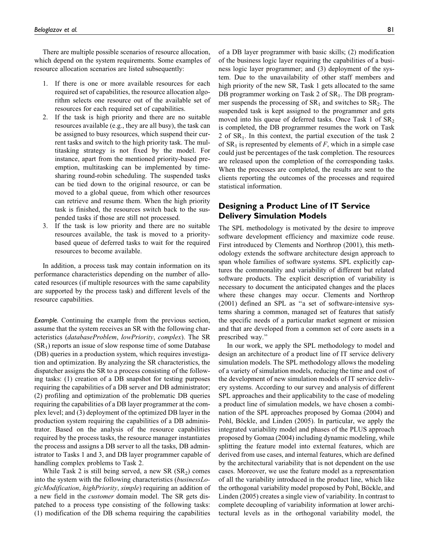There are multiple possible scenarios of resource allocation, which depend on the system requirements. Some examples of resource allocation scenarios are listed subsequently:

- 1. If there is one or more available resources for each required set of capabilities, the resource allocation algorithm selects one resource out of the available set of resources for each required set of capabilities.
- 2. If the task is high priority and there are no suitable resources available (e.g., they are all busy), the task can be assigned to busy resources, which suspend their current tasks and switch to the high priority task. The multitasking strategy is not fixed by the model. For instance, apart from the mentioned priority-based preemption, multitasking can be implemented by timesharing round-robin scheduling. The suspended tasks can be tied down to the original resource, or can be moved to a global queue, from which other resources can retrieve and resume them. When the high priority task is finished, the resources switch back to the suspended tasks if those are still not processed.
- 3. If the task is low priority and there are no suitable resources available, the task is moved to a prioritybased queue of deferred tasks to wait for the required resources to become available.

In addition, a process task may contain information on its performance characteristics depending on the number of allocated resources (if multiple resources with the same capability are supported by the process task) and different levels of the resource capabilities.

Example. Continuing the example from the previous section, assume that the system receives an SR with the following characteristics (databaseProblem, lowPriority, complex). The SR  $(SR<sub>1</sub>)$  reports an issue of slow response time of some Database (DB) queries in a production system, which requires investigation and optimization. By analyzing the SR characteristics, the dispatcher assigns the SR to a process consisting of the following tasks: (1) creation of a DB snapshot for testing purposes requiring the capabilities of a DB server and DB administrator; (2) profiling and optimization of the problematic DB queries requiring the capabilities of a DB layer programmer at the complex level; and (3) deployment of the optimized DB layer in the production system requiring the capabilities of a DB administrator. Based on the analysis of the resource capabilities required by the process tasks, the resource manager instantiates the process and assigns a DB server to all the tasks, DB administrator to Tasks 1 and 3, and DB layer programmer capable of handling complex problems to Task 2.

While Task 2 is still being served, a new SR  $(SR<sub>2</sub>)$  comes into the system with the following characteristics (businessLogicModification, highPriority, simple) requiring an addition of a new field in the customer domain model. The SR gets dispatched to a process type consisting of the following tasks: (1) modification of the DB schema requiring the capabilities

of a DB layer programmer with basic skills; (2) modification of the business logic layer requiring the capabilities of a business logic layer programmer; and (3) deployment of the system. Due to the unavailability of other staff members and high priority of the new SR, Task 1 gets allocated to the same DB programmer working on Task 2 of  $SR<sub>1</sub>$ . The DB programmer suspends the processing of  $SR_1$  and switches to  $SR_2$ . The suspended task is kept assigned to the programmer and gets moved into his queue of deferred tasks. Once Task 1 of  $SR<sub>2</sub>$ is completed, the DB programmer resumes the work on Task 2 of  $SR<sub>1</sub>$ . In this context, the partial execution of the task 2 of  $SR<sub>1</sub>$  is represented by elements of F, which in a simple case could just be percentages of the task completion. The resources are released upon the completion of the corresponding tasks. When the processes are completed, the results are sent to the clients reporting the outcomes of the processes and required statistical information.

# Designing a Product Line of IT Service Delivery Simulation Models

The SPL methodology is motivated by the desire to improve software development efficiency and maximize code reuse. First introduced by Clements and Northrop (2001), this methodology extends the software architecture design approach to span whole families of software systems. SPL explicitly captures the commonality and variability of different but related software products. The explicit description of variability is necessary to document the anticipated changes and the places where these changes may occur. Clements and Northrop (2001) defined an SPL as ''a set of software-intensive systems sharing a common, managed set of features that satisfy the specific needs of a particular market segment or mission and that are developed from a common set of core assets in a prescribed way.''

In our work, we apply the SPL methodology to model and design an architecture of a product line of IT service delivery simulation models. The SPL methodology allows the modeling of a variety of simulation models, reducing the time and cost of the development of new simulation models of IT service delivery systems. According to our survey and analysis of different SPL approaches and their applicability to the case of modeling a product line of simulation models, we have chosen a combination of the SPL approaches proposed by Gomaa (2004) and Pohl, Böckle, and Linden (2005). In particular, we apply the integrated variability model and phases of the PLUS approach proposed by Gomaa (2004) including dynamic modeling, while splitting the feature model into external features, which are derived from use cases, and internal features, which are defined by the architectural variability that is not dependent on the use cases. Moreover, we use the feature model as a representation of all the variability introduced in the product line, which like the orthogonal variability model proposed by Pohl, Böckle, and Linden (2005) creates a single view of variability. In contrast to complete decoupling of variability information at lower architectural levels as in the orthogonal variability model, the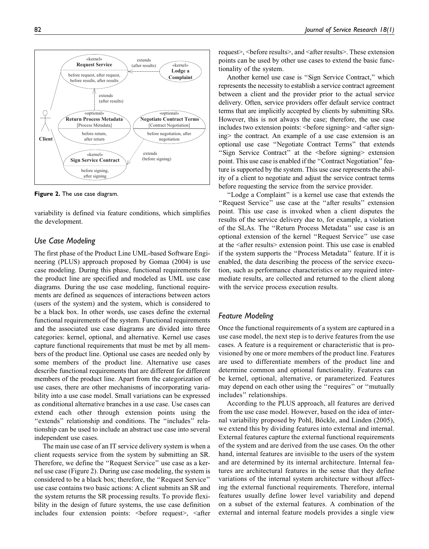Figure 2. The use case diagram.

variability is defined via feature conditions, which simplifies the development.

# Use Case Modeling

The first phase of the Product Line UML-based Software Engineering (PLUS) approach proposed by Gomaa (2004) is use case modeling. During this phase, functional requirements for the product line are specified and modeled as UML use case diagrams. During the use case modeling, functional requirements are defined as sequences of interactions between actors (users of the system) and the system, which is considered to be a black box. In other words, use cases define the external functional requirements of the system. Functional requirements and the associated use case diagrams are divided into three categories: kernel, optional, and alternative. Kernel use cases capture functional requirements that must be met by all members of the product line. Optional use cases are needed only by some members of the product line. Alternative use cases describe functional requirements that are different for different members of the product line. Apart from the categorization of use cases, there are other mechanisms of incorporating variability into a use case model. Small variations can be expressed as conditional alternative branches in a use case. Use cases can extend each other through extension points using the ''extends'' relationship and conditions. The ''includes'' relationship can be used to include an abstract use case into several independent use cases.

The main use case of an IT service delivery system is when a client requests service from the system by submitting an SR. Therefore, we define the ''Request Service'' use case as a kernel use case (Figure 2). During use case modeling, the system is considered to be a black box; therefore, the ''Request Service'' use case contains two basic actions: A client submits an SR and the system returns the SR processing results. To provide flexibility in the design of future systems, the use case definition includes four extension points: <br/>before request>, <after

request>, <br/>before results>, and <after results>. These extension points can be used by other use cases to extend the basic functionality of the system.

Another kernel use case is ''Sign Service Contract,'' which represents the necessity to establish a service contract agreement between a client and the provider prior to the actual service delivery. Often, service providers offer default service contract terms that are implicitly accepted by clients by submitting SRs. However, this is not always the case; therefore, the use case includes two extension points: <br/>before signing> and <after signing> the contract. An example of a use case extension is an optional use case ''Negotiate Contract Terms'' that extends "Sign Service Contract" at the <br/>before signing> extension point. This use case is enabled if the ''Contract Negotiation'' feature is supported by the system. This use case represents the ability of a client to negotiate and adjust the service contract terms before requesting the service from the service provider.

''Lodge a Complaint'' is a kernel use case that extends the "Request Service" use case at the "after results" extension point. This use case is invoked when a client disputes the results of the service delivery due to, for example, a violation of the SLAs. The ''Return Process Metadata'' use case is an optional extension of the kernel ''Request Service'' use case at the <after results> extension point. This use case is enabled if the system supports the ''Process Metadata'' feature. If it is enabled, the data describing the process of the service execution, such as performance characteristics or any required intermediate results, are collected and returned to the client along with the service process execution results.

# Feature Modeling

Once the functional requirements of a system are captured in a use case model, the next step is to derive features from the use cases. A feature is a requirement or characteristic that is provisioned by one or more members of the product line. Features are used to differentiate members of the product line and determine common and optional functionality. Features can be kernel, optional, alternative, or parameterized. Features may depend on each other using the ''requires'' or ''mutually includes'' relationships.

According to the PLUS approach, all features are derived from the use case model. However, based on the idea of internal variability proposed by Pohl, Böckle, and Linden (2005), we extend this by dividing features into external and internal. External features capture the external functional requirements of the system and are derived from the use cases. On the other hand, internal features are invisible to the users of the system and are determined by its internal architecture. Internal features are architectural features in the sense that they define variations of the internal system architecture without affecting the external functional requirements. Therefore, internal features usually define lower level variability and depend on a subset of the external features. A combination of the external and internal feature models provides a single view

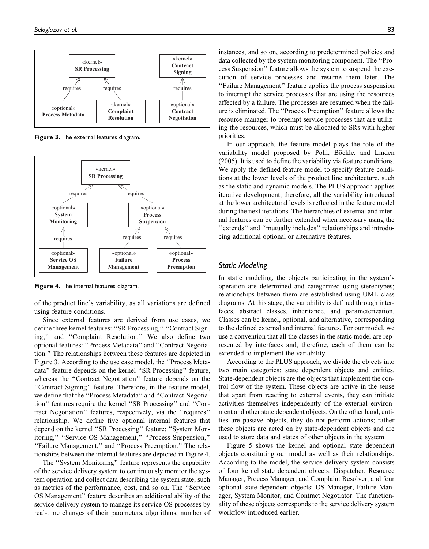

Figure 3. The external features diagram.



Figure 4. The internal features diagram.

of the product line's variability, as all variations are defined using feature conditions.

Since external features are derived from use cases, we define three kernel features: ''SR Processing,'' ''Contract Signing,'' and ''Complaint Resolution.'' We also define two optional features: ''Process Metadata'' and ''Contract Negotiation.'' The relationships between these features are depicted in Figure 3. According to the use case model, the ''Process Metadata'' feature depends on the kernel ''SR Processing'' feature, whereas the "Contract Negotiation" feature depends on the "Contract Signing" feature. Therefore, in the feature model, we define that the ''Process Metadata'' and ''Contract Negotiation'' features require the kernel ''SR Processing'' and ''Contract Negotiation'' features, respectively, via the ''requires'' relationship. We define five optional internal features that depend on the kernel ''SR Processing'' feature: ''System Monitoring," "Service OS Management," "Process Suspension," ''Failure Management,'' and ''Process Preemption.'' The relationships between the internal features are depicted in Figure 4.

The ''System Monitoring'' feature represents the capability of the service delivery system to continuously monitor the system operation and collect data describing the system state, such as metrics of the performance, cost, and so on. The ''Service OS Management'' feature describes an additional ability of the service delivery system to manage its service OS processes by real-time changes of their parameters, algorithms, number of

instances, and so on, according to predetermined policies and data collected by the system monitoring component. The ''Process Suspension'' feature allows the system to suspend the execution of service processes and resume them later. The ''Failure Management'' feature applies the process suspension to interrupt the service processes that are using the resources affected by a failure. The processes are resumed when the failure is eliminated. The ''Process Preemption'' feature allows the resource manager to preempt service processes that are utilizing the resources, which must be allocated to SRs with higher priorities.

In our approach, the feature model plays the role of the variability model proposed by Pohl, Böckle, and Linden (2005). It is used to define the variability via feature conditions. We apply the defined feature model to specify feature conditions at the lower levels of the product line architecture, such as the static and dynamic models. The PLUS approach applies iterative development; therefore, all the variability introduced at the lower architectural levels is reflected in the feature model during the next iterations. The hierarchies of external and internal features can be further extended when necessary using the "extends" and "mutually includes" relationships and introducing additional optional or alternative features.

#### Static Modeling

In static modeling, the objects participating in the system's operation are determined and categorized using stereotypes; relationships between them are established using UML class diagrams. At this stage, the variability is defined through interfaces, abstract classes, inheritance, and parameterization. Classes can be kernel, optional, and alternative, corresponding to the defined external and internal features. For our model, we use a convention that all the classes in the static model are represented by interfaces and, therefore, each of them can be extended to implement the variability.

According to the PLUS approach, we divide the objects into two main categories: state dependent objects and entities. State-dependent objects are the objects that implement the control flow of the system. These objects are active in the sense that apart from reacting to external events, they can initiate activities themselves independently of the external environment and other state dependent objects. On the other hand, entities are passive objects, they do not perform actions; rather these objects are acted on by state-dependent objects and are used to store data and states of other objects in the system.

Figure 5 shows the kernel and optional state dependent objects constituting our model as well as their relationships. According to the model, the service delivery system consists of four kernel state dependent objects: Dispatcher, Resource Manager, Process Manager, and Complaint Resolver; and four optional state-dependent objects: OS Manager, Failure Manager, System Monitor, and Contract Negotiator. The functionality of these objects corresponds to the service delivery system workflow introduced earlier.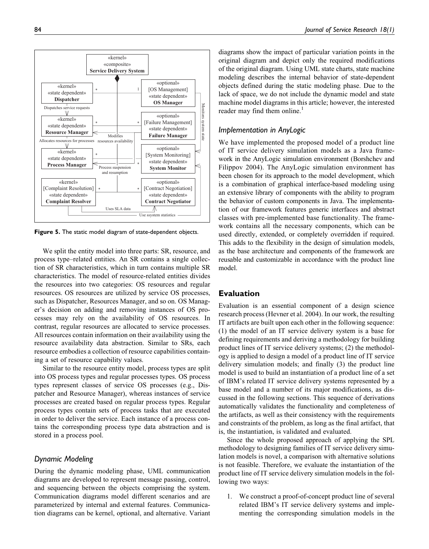

Figure 5. The static model diagram of state-dependent objects.

We split the entity model into three parts: SR, resource, and process type–related entities. An SR contains a single collection of SR characteristics, which in turn contains multiple SR characteristics. The model of resource-related entities divides the resources into two categories: OS resources and regular resources. OS resources are utilized by service OS processes, such as Dispatcher, Resources Manager, and so on. OS Manager's decision on adding and removing instances of OS processes may rely on the availability of OS resources. In contrast, regular resources are allocated to service processes. All resources contain information on their availability using the resource availability data abstraction. Similar to SRs, each resource embodies a collection of resource capabilities containing a set of resource capability values.

Similar to the resource entity model, process types are split into OS process types and regular processes types. OS process types represent classes of service OS processes (e.g., Dispatcher and Resource Manager), whereas instances of service processes are created based on regular process types. Regular process types contain sets of process tasks that are executed in order to deliver the service. Each instance of a process contains the corresponding process type data abstraction and is stored in a process pool.

# Dynamic Modeling

During the dynamic modeling phase, UML communication diagrams are developed to represent message passing, control, and sequencing between the objects comprising the system. Communication diagrams model different scenarios and are parameterized by internal and external features. Communication diagrams can be kernel, optional, and alternative. Variant

diagrams show the impact of particular variation points in the original diagram and depict only the required modifications of the original diagram. Using UML state charts, state machine modeling describes the internal behavior of state-dependent objects defined during the static modeling phase. Due to the lack of space, we do not include the dynamic model and state machine model diagrams in this article; however, the interested reader may find them online.<sup>1</sup>

# Implementation in AnyLogic

We have implemented the proposed model of a product line of IT service delivery simulation models as a Java framework in the AnyLogic simulation environment (Borshchev and Filippov 2004). The AnyLogic simulation environment has been chosen for its approach to the model development, which is a combination of graphical interface-based modeling using an extensive library of components with the ability to program the behavior of custom components in Java. The implementation of our framework features generic interfaces and abstract classes with pre-implemented base functionality. The framework contains all the necessary components, which can be used directly, extended, or completely overridden if required. This adds to the flexibility in the design of simulation models, as the base architecture and components of the framework are reusable and customizable in accordance with the product line model.

## Evaluation

Evaluation is an essential component of a design science research process (Hevner et al. 2004). In our work, the resulting IT artifacts are built upon each other in the following sequence: (1) the model of an IT service delivery system is a base for defining requirements and deriving a methodology for building product lines of IT service delivery systems; (2) the methodology is applied to design a model of a product line of IT service delivery simulation models; and finally (3) the product line model is used to build an instantiation of a product line of a set of IBM's related IT service delivery systems represented by a base model and a number of its major modifications, as discussed in the following sections. This sequence of derivations automatically validates the functionality and completeness of the artifacts, as well as their consistency with the requirements and constraints of the problem, as long as the final artifact, that is, the instantiation, is validated and evaluated.

Since the whole proposed approach of applying the SPL methodology to designing families of IT service delivery simulation models is novel, a comparison with alternative solutions is not feasible. Therefore, we evaluate the instantiation of the product line of IT service delivery simulation models in the following two ways:

1. We construct a proof-of-concept product line of several related IBM's IT service delivery systems and implementing the corresponding simulation models in the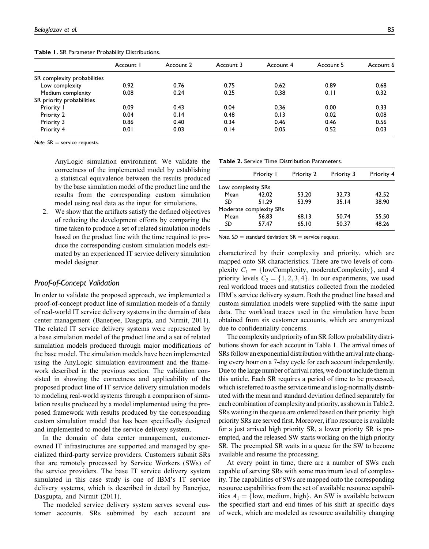|                             | Account I | Account 2 | Account 3 | Account 4 | Account 5 | Account 6 |
|-----------------------------|-----------|-----------|-----------|-----------|-----------|-----------|
| SR complexity probabilities |           |           |           |           |           |           |
| Low complexity              | 0.92      | 0.76      | 0.75      | 0.62      | 0.89      | 0.68      |
| Medium complexity           | 0.08      | 0.24      | 0.25      | 0.38      | 0.11      | 0.32      |
| SR priority probabilities   |           |           |           |           |           |           |
| Priority I                  | 0.09      | 0.43      | 0.04      | 0.36      | 0.00      | 0.33      |
| Priority 2                  | 0.04      | 0.14      | 0.48      | 0.13      | 0.02      | 0.08      |
| Priority 3                  | 0.86      | 0.40      | 0.34      | 0.46      | 0.46      | 0.56      |
| Priority 4                  | 0.01      | 0.03      | 0.14      | 0.05      | 0.52      | 0.03      |

Table 1. SR Parameter Probability Distributions.

Note.  $SR$  = service requests.

AnyLogic simulation environment. We validate the correctness of the implemented model by establishing a statistical equivalence between the results produced by the base simulation model of the product line and the results from the corresponding custom simulation model using real data as the input for simulations.

2. We show that the artifacts satisfy the defined objectives of reducing the development efforts by comparing the time taken to produce a set of related simulation models based on the product line with the time required to produce the corresponding custom simulation models estimated by an experienced IT service delivery simulation model designer.

# Proof-of-Concept Validation

In order to validate the proposed approach, we implemented a proof-of-concept product line of simulation models of a family of real-world IT service delivery systems in the domain of data center management (Banerjee, Dasgupta, and Nirmit, 2011). The related IT service delivery systems were represented by a base simulation model of the product line and a set of related simulation models produced through major modifications of the base model. The simulation models have been implemented using the AnyLogic simulation environment and the framework described in the previous section. The validation consisted in showing the correctness and applicability of the proposed product line of IT service delivery simulation models to modeling real-world systems through a comparison of simulation results produced by a model implemented using the proposed framework with results produced by the corresponding custom simulation model that has been specifically designed and implemented to model the service delivery system.

In the domain of data center management, customerowned IT infrastructures are supported and managed by specialized third-party service providers. Customers submit SRs that are remotely processed by Service Workers (SWs) of the service providers. The base IT service delivery system simulated in this case study is one of IBM's IT service delivery systems, which is described in detail by Banerjee, Dasgupta, and Nirmit (2011).

The modeled service delivery system serves several customer accounts. SRs submitted by each account are

| <b>Table 2.</b> Service Time Distribution Parameters. |
|-------------------------------------------------------|
|-------------------------------------------------------|

|                    | Priority I              | Priority 2 | Priority 3 | Priority 4 |
|--------------------|-------------------------|------------|------------|------------|
| Low complexity SRs |                         |            |            |            |
| Mean               | 42.02                   | 53.20      | 32.73      | 42.52      |
| SD.                | 51.29                   | 53.99      | 35.14      | 38.90      |
|                    | Moderate complexity SRs |            |            |            |
| Mean               | 56.83                   | 68.13      | 50.74      | 55.50      |
| SD                 | 57.47                   | 65.10      | 50.37      | 48.26      |
|                    |                         |            |            |            |

Note.  $SD =$  standard deviation;  $SR =$  service request.

characterized by their complexity and priority, which are mapped onto SR characteristics. There are two levels of complexity  $C_1 = \{lowComplexity, moderateComplexity\}$ , and 4 priority levels  $C_2 = \{1, 2, 3, 4\}$ . In our experiments, we used real workload traces and statistics collected from the modeled IBM's service delivery system. Both the product line based and custom simulation models were supplied with the same input data. The workload traces used in the simulation have been obtained from six customer accounts, which are anonymized due to confidentiality concerns.

The complexity and priority of an SR follow probability distributions shown for each account in Table 1. The arrival times of SRs follow an exponential distribution with the arrival rate changing every hour on a 7-day cycle for each account independently. Due to the large number of arrival rates, we do not include them in this article. Each SR requires a period of time to be processed, which is referred to as the service time and is log-normally distributed with the mean and standard deviation defined separately for each combination of complexity and priority, as shown in Table 2. SRs waiting in the queue are ordered based on their priority: high priority SRs are served first. Moreover, if no resource is available for a just arrived high priority SR, a lower priority SR is preempted, and the released SW starts working on the high priority SR. The preempted SR waits in a queue for the SW to become available and resume the processing.

At every point in time, there are a number of SWs each capable of serving SRs with some maximum level of complexity. The capabilities of SWs are mapped onto the corresponding resource capabilities from the set of available resource capabilities  $A_1 = \{low, medium, high\}$ . An SW is available between the specified start and end times of his shift at specific days of week, which are modeled as resource availability changing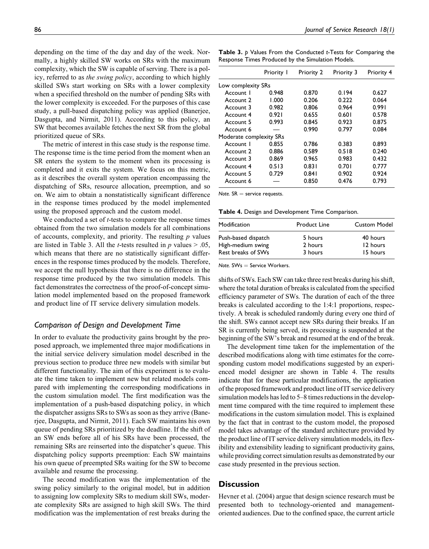depending on the time of the day and day of the week. Normally, a highly skilled SW works on SRs with the maximum complexity, which the SW is capable of serving. There is a policy, referred to as the swing policy, according to which highly skilled SWs start working on SRs with a lower complexity when a specified threshold on the number of pending SRs with the lower complexity is exceeded. For the purposes of this case study, a pull-based dispatching policy was applied (Banerjee, Dasgupta, and Nirmit, 2011). According to this policy, an SW that becomes available fetches the next SR from the global prioritized queue of SRs.

The metric of interest in this case study is the response time. The response time is the time period from the moment when an SR enters the system to the moment when its processing is completed and it exits the system. We focus on this metric, as it describes the overall system operation encompassing the dispatching of SRs, resource allocation, preemption, and so on. We aim to obtain a nonstatistically significant difference in the response times produced by the model implemented using the proposed approach and the custom model.

We conducted a set of  $t$ -tests to compare the response times obtained from the two simulation models for all combinations of accounts, complexity, and priority. The resulting  $p$  values are listed in Table 3. All the *t*-tests resulted in *p* values  $> .05$ , which means that there are no statistically significant differences in the response times produced by the models. Therefore, we accept the null hypothesis that there is no difference in the response time produced by the two simulation models. This fact demonstrates the correctness of the proof-of-concept simulation model implemented based on the proposed framework and product line of IT service delivery simulation models.

#### Comparison of Design and Development Time

In order to evaluate the productivity gains brought by the proposed approach, we implemented three major modifications in the initial service delivery simulation model described in the previous section to produce three new models with similar but different functionality. The aim of this experiment is to evaluate the time taken to implement new but related models compared with implementing the corresponding modifications in the custom simulation model. The first modification was the implementation of a push-based dispatching policy, in which the dispatcher assigns SRs to SWs as soon as they arrive (Banerjee, Dasgupta, and Nirmit, 2011). Each SW maintains his own queue of pending SRs prioritized by the deadline. If the shift of an SW ends before all of his SRs have been processed, the remaining SRs are reinserted into the dispatcher's queue. This dispatching policy supports preemption: Each SW maintains his own queue of preempted SRs waiting for the SW to become available and resume the processing.

The second modification was the implementation of the swing policy similarly to the original model, but in addition to assigning low complexity SRs to medium skill SWs, moderate complexity SRs are assigned to high skill SWs. The third modification was the implementation of rest breaks during the

Table 3.  $p$  Values From the Conducted t-Tests for Comparing the Response Times Produced by the Simulation Models.

|                         | Priority I | Priority 2 | Priority 3 | <b>Priority 4</b> |
|-------------------------|------------|------------|------------|-------------------|
| Low complexity SRs      |            |            |            |                   |
| Account 1               | 0.948      | 0.870      | 0.194      | 0.627             |
| Account 2               | 1.000      | 0.206      | 0.222      | 0.064             |
| Account 3               | 0.982      | 0.806      | 0.964      | 0.991             |
| Account 4               | 0.921      | 0.655      | 0.601      | 0.578             |
| Account 5               | 0.993      | 0.845      | 0.923      | 0.875             |
| Account 6               |            | 0.990      | 0.797      | 0.084             |
| Moderate complexity SRs |            |            |            |                   |
| Account 1               | 0.855      | 0.786      | 0.383      | 0.893             |
| Account 2               | 0.886      | 0.589      | 0.518      | 0.240             |
| Account 3               | 0.869      | 0.965      | 0.983      | 0.432             |
| Account 4               | 0.513      | 0.831      | 0.701      | 0.777             |
| Account 5               | 0.729      | 0.841      | 0.902      | 0.924             |
| Account 6               |            | 0.850      | 0.476      | 0.793             |

Note.  $SR =$  service requests.

Table 4. Design and Development Time Comparison.

| Modification        | <b>Product Line</b> | <b>Custom Model</b> |
|---------------------|---------------------|---------------------|
| Push-based dispatch | 5 hours             | 40 hours            |
| High-medium swing   | 2 hours             | 12 hours            |
| Rest breaks of SWs  | 3 hours             | 15 hours            |

 $Note. SWs = Service Workers.$ 

shifts of SWs. Each SW can take three rest breaks during his shift, where the total duration of breaks is calculated from the specified efficiency parameter of SWs. The duration of each of the three breaks is calculated according to the 1:4:1 proportions, respectively. A break is scheduled randomly during every one third of the shift. SWs cannot accept new SRs during their breaks. If an SR is currently being served, its processing is suspended at the beginning of the SW's break and resumed at the end of the break.

The development time taken for the implementation of the described modifications along with time estimates for the corresponding custom model modifications suggested by an experienced model designer are shown in Table 4. The results indicate that for these particular modifications, the application of the proposed framework and product line of IT service delivery simulation models has led to 5–8 times reductions in the development time compared with the time required to implement these modifications in the custom simulation model. This is explained by the fact that in contrast to the custom model, the proposed model takes advantage of the standard architecture provided by the product line of IT service delivery simulation models, its flexibility and extensibility leading to significant productivity gains, while providing correct simulation results as demonstrated by our case study presented in the previous section.

#### **Discussion**

Hevner et al. (2004) argue that design science research must be presented both to technology-oriented and managementoriented audiences. Due to the confined space, the current article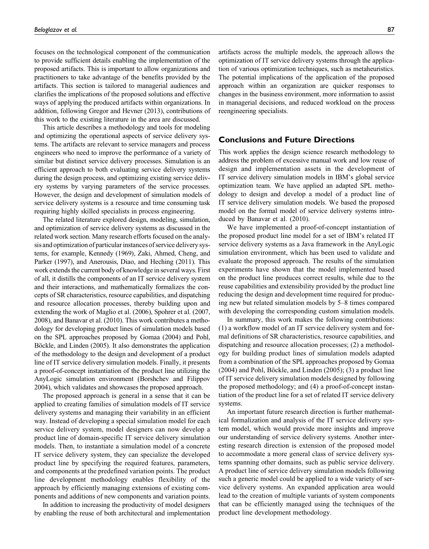focuses on the technological component of the communication to provide sufficient details enabling the implementation of the proposed artifacts. This is important to allow organizations and practitioners to take advantage of the benefits provided by the artifacts. This section is tailored to managerial audiences and clarifies the implications of the proposed solutions and effective ways of applying the produced artifacts within organizations. In addition, following Gregor and Hevner (2013), contributions of this work to the existing literature in the area are discussed.

This article describes a methodology and tools for modeling and optimizing the operational aspects of service delivery systems. The artifacts are relevant to service managers and process engineers who need to improve the performance of a variety of similar but distinct service delivery processes. Simulation is an efficient approach to both evaluating service delivery systems during the design process, and optimizing existing service delivery systems by varying parameters of the service processes. However, the design and development of simulation models of service delivery systems is a resource and time consuming task requiring highly skilled specialists in process engineering.

The related literature explored design, modeling, simulation, and optimization of service delivery systems as discussed in the related work section. Many research efforts focused on the analysis and optimization of particular instances of service delivery systems, for example, Kennedy (1969), Zaki, Ahmed, Cheng, and Parker (1997), and Anerousis, Diao, and Heching (2011). This work extends the current body of knowledge in several ways. First of all, it distills the components of an IT service delivery system and their interactions, and mathematically formalizes the concepts of SR characteristics, resource capabilities, and dispatching and resource allocation processes, thereby building upon and extending the work of Maglio et al. (2006), Spohrer et al. (2007, 2008), and Banavar et al. (2010). This work contributes a methodology for developing product lines of simulation models based on the SPL approaches proposed by Gomaa (2004) and Pohl, Böckle, and Linden (2005). It also demonstrates the application of the methodology to the design and development of a product line of IT service delivery simulation models. Finally, it presents a proof-of-concept instantiation of the product line utilizing the AnyLogic simulation environment (Borshchev and Filippov 2004), which validates and showcases the proposed approach.

The proposed approach is general in a sense that it can be applied to creating families of simulation models of IT service delivery systems and managing their variability in an efficient way. Instead of developing a special simulation model for each service delivery system, model designers can now develop a product line of domain-specific IT service delivery simulation models. Then, to instantiate a simulation model of a concrete IT service delivery system, they can specialize the developed product line by specifying the required features, parameters, and components at the predefined variation points. The product line development methodology enables flexibility of the approach by efficiently managing extensions of existing components and additions of new components and variation points.

In addition to increasing the productivity of model designers by enabling the reuse of both architectural and implementation artifacts across the multiple models, the approach allows the optimization of IT service delivery systems through the application of various optimization techniques, such as metaheuristics. The potential implications of the application of the proposed approach within an organization are quicker responses to changes in the business environment, more information to assist in managerial decisions, and reduced workload on the process reengineering specialists.

## Conclusions and Future Directions

This work applies the design science research methodology to address the problem of excessive manual work and low reuse of design and implementation assets in the development of IT service delivery simulation models in IBM's global service optimization team. We have applied an adapted SPL methodology to design and develop a model of a product line of IT service delivery simulation models. We based the proposed model on the formal model of service delivery systems introduced by Banavar et al. (2010).

We have implemented a proof-of-concept instantiation of the proposed product line model for a set of IBM's related IT service delivery systems as a Java framework in the AnyLogic simulation environment, which has been used to validate and evaluate the proposed approach. The results of the simulation experiments have shown that the model implemented based on the product line produces correct results, while due to the reuse capabilities and extensibility provided by the product line reducing the design and development time required for producing new but related simulation models by 5–8 times compared with developing the corresponding custom simulation models.

In summary, this work makes the following contributions: (1) a workflow model of an IT service delivery system and formal definitions of SR characteristics, resource capabilities, and dispatching and resource allocation processes; (2) a methodology for building product lines of simulation models adapted from a combination of the SPL approaches proposed by Gomaa  $(2004)$  and Pohl, Böckle, and Linden  $(2005)$ ;  $(3)$  a product line of IT service delivery simulation models designed by following the proposed methodology; and (4) a proof-of-concept instantiation of the product line for a set of related IT service delivery systems.

An important future research direction is further mathematical formalization and analysis of the IT service delivery system model, which would provide more insights and improve our understanding of service delivery systems. Another interesting research direction is extension of the proposed model to accommodate a more general class of service delivery systems spanning other domains, such as public service delivery. A product line of service delivery simulation models following such a generic model could be applied to a wide variety of service delivery systems. An expanded application area would lead to the creation of multiple variants of system components that can be efficiently managed using the techniques of the product line development methodology.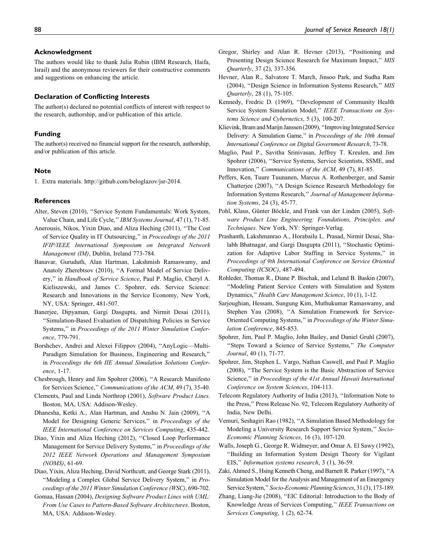### Acknowledgment

The authors would like to thank Julia Rubin (IBM Research, Haifa, Israil) and the anonymous reviewers for their constructive comments and suggestions on enhancing the article.

#### Declaration of Conflicting Interests

The author(s) declared no potential conflicts of interest with respect to the research, authorship, and/or publication of this article.

### Funding

The author(s) received no financial support for the research, authorship, and/or publication of this article.

#### **Note**

1. Extra materials. [http://github.com/beloglazov/jsr-2014.](http://github.com/beloglazov/jsr-2014)

#### **References**

- Alter, Steven (2010), ''Service System Fundamentals: Work System, Value Chain, and Life Cycle,'' IBM Systems Journal, 47 (1), 71-85.
- Anerousis, Nikos, Yixin Diao, and Aliza Heching (2011), ''The Cost of Service Quality in IT Outsourcing,'' in Proceedings of the 2011 IFIP/IEEE International Symposium on Integrated Network Management (IM), Dublin, Ireland 773-784.
- Banavar, Guruduth, Alan Hartman, Lakshmish Ramaswamy, and Anatoly Zherebtsov (2010), ''A Formal Model of Service Delivery,'' in Handbook of Service Science, Paul P. Maglio, Cheryl A. Kieliszewski, and James C. Spohrer, eds. Service Science: Research and Innovations in the Service Economy, New York, NY, USA: Springer, 481-507.
- Banerjee, Dipyaman, Gargi Dasgupta, and Nirmit Desai (2011), ''Simulation-Based Evaluation of Dispatching Policies in Service Systems,'' in Proceedings of the 2011 Winter Simulation Conference, 779-791.
- Borshchev, Andrei and Alexei Filippov (2004), ''AnyLogic—Multi-Paradigm Simulation for Business, Engineering and Research,'' in Proceedings the 6th IIE Annual Simulation Solutions Conference, 1-17.
- Chesbrough, Henry and Jim Spohrer (2006), ''A Research Manifesto for Services Science,'' Communications of the ACM, 49 (7), 35-40.
- Clements, Paul and Linda Northrop (2001), Software Product Lines. Boston, MA, USA: Addison-Wesley.
- Dhanesha, Ketki A., Alan Hartman, and Anshu N. Jain (2009), ''A Model for Designing Generic Services," in Proceedings of the IEEE International Conference on Services Computing, 435-442.
- Diao, Yixin and Aliza Heching (2012), ''Closed Loop Performance Management for Service Delivery Systems," in Proceedings of the 2012 IEEE Network Operations and Management Symposium (NOMS), 61-69.
- Diao, Yixin, Aliza Heching, David Northcutt, and George Stark (2011), ''Modeling a Complex Global Service Delivery System,'' in Proceedings of the 2011 Winter Simulation Conference (WSC), 690-702.
- Gomaa, Hassan (2004), Designing Software Product Lines with UML: From Use Cases to Pattern-Based Software Architectures. Boston, MA, USA: Addison-Wesley.
- Gregor, Shirley and Alan R. Hevner (2013), ''Positioning and Presenting Design Science Research for Maximum Impact," MIS Quarterly, 37 (2), 337-356.
- Hevner, Alan R., Salvatore T. March, Jinsoo Park, and Sudha Ram (2004), ''Design Science in Information Systems Research,'' MIS Quarterly, 28 (1), 75-105.
- Kennedy, Fredric D. (1969), ''Development of Community Health Service System Simulation Model," IEEE Transactions on Systems Science and Cybernetics, 5 (3), 100-207.
- Klievink, Bram and Marijn Janssen (2009), "Improving Integrated Service Delivery: A Simulation Game," in Proceedings of the 10th Annual International Conference on Digital Government Research, 73-78.
- Maglio, Paul P., Savitha Srinivasan, Jeffrey T. Kreulen, and Jim Spohrer (2006), ''Service Systems, Service Scientists, SSME, and Innovation,'' Communications of the ACM, 49 (7), 81-85.
- Peffers, Ken, Tuure Tuunanen, Marcus A. Rothenberger, and Samir Chatterjee (2007), ''A Design Science Research Methodology for Information Systems Research,'' Journal of Management Information Systems, 24 (3), 45-77.
- Pohl, Klaus, Günter Böckle, and Frank van der Linden (2005), Software Product Line Engineering: Foundations, Principles, and Techniques. New York, NY: Springer-Verlag.
- Prashanth, Lakshmanrao A., Horabailu L. Prasad, Nirmit Desai, Shalabh Bhatnagar, and Gargi Dasgupta (2011), ''Stochastic Optimization for Adaptive Labor Staffing in Service Systems,'' in Proceedings of 9th International Conference on Service Oriented Computing (ICSOC), 487-494.
- Rohleder, Thomas R., Diane P. Bischak, and Leland B. Baskin (2007), ''Modeling Patient Service Centers with Simulation and System Dynamics,'' Health Care Management Science, 10 (1), 1-12.
- Sarjoughian, Hessam, Sungung Kim, Muthukumar Ramaswamy, and Stephen Yau (2008), ''A Simulation Framework for Service-Oriented Computing Systems,'' in Proceedings of the Winter Simulation Conference, [845-853.](845-853)
- Spohrer, Jim, Paul P. Maglio, John Bailey, and Daniel Gruhl (2007), "Steps Toward a Science of Service Systems," The Computer Journal, 40 (1), 71-77.
- Spohrer, Jim, Stephen L. Vargo, Nathan Caswell, and Paul P. Maglio (2008), ''The Service System is the Basic Abstraction of Service Science," in Proceedings of the 41st Annual Hawaii International Conference on System Sciences, 104-113.
- Telecom Regulatory Authority of India (2013), ''Information Note to the Press,'' Press Release No. 92, Telecom Regulatory Authority of India, New Delhi.
- Vemuri, Seshagiri Rao (1982), ''A Simulation Based Methodology for Modeling a University Research Support Service System,'' Socio-Economic Planning Sciences, 16 (3), 107-120.
- Walls, Joseph G., George R. Widmeyer, and Omar A. El Sawy (1992), ''Building an Information System Design Theory for Vigilant EIS,'' Information systems research, 3 (1), 36-59.
- Zaki, Ahmed S., Hsing Kenneth Cheng, and Barnett R. Parker (1997), ''A Simulation Model for the Analysis and Management of an Emergency Service System," Socio-Economic Planning Sciences, 31(3), 173-189.
- Zhang, Liang-Jie (2008), ''EIC Editorial: Introduction to the Body of Knowledge Areas of Services Computing,'' IEEE Transactions on Services Computing, 1 (2), 62-74.